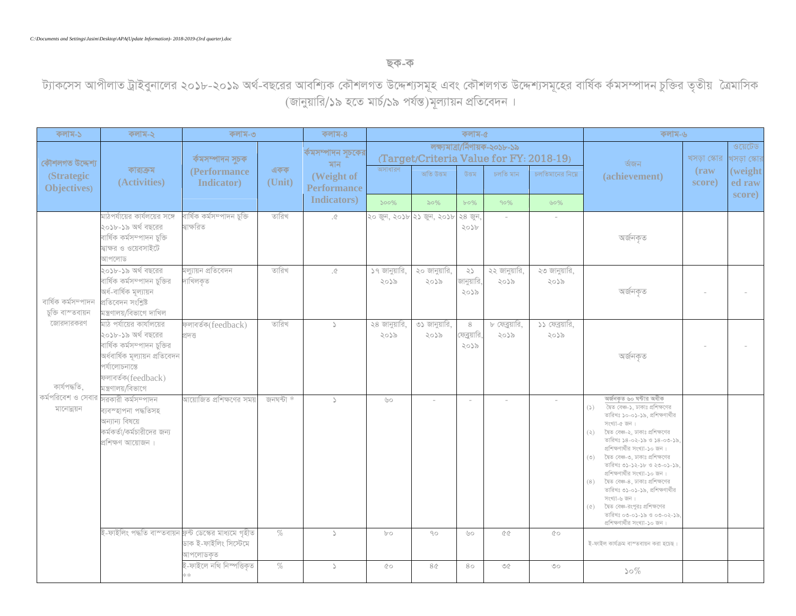## <u>ছক-ক</u>

ট্যাকসেস আপীলাত ট্রাইবুনালের ২০১৮-২০১৯ অর্থ-বছরের আবশ্যিক কৌশলগত উদ্দেশ্যাত উদ্দেশ্যসমূহের বার্ষিক র্কমসম্পাদন চুক্তির তৃতীয় বৈমাসিক (জানুয়ারি/১৯ হতে মার্চ/১৯ পর্যন্ত)মূল্যায়ন প্রতিবেদন ।

| কলাম-১                                                                                                   | কলাম-২                                                                                                                                                                          | কলাম-৩                                   |           | কলাম-৪                           | কলাম-৫                |                           |                             |                                                                         |                        | কলাম-৬                                                                                                                                                                                                                                                                                                                                                                                                                                                                                                                                       |                          |                             |
|----------------------------------------------------------------------------------------------------------|---------------------------------------------------------------------------------------------------------------------------------------------------------------------------------|------------------------------------------|-----------|----------------------------------|-----------------------|---------------------------|-----------------------------|-------------------------------------------------------------------------|------------------------|----------------------------------------------------------------------------------------------------------------------------------------------------------------------------------------------------------------------------------------------------------------------------------------------------------------------------------------------------------------------------------------------------------------------------------------------------------------------------------------------------------------------------------------------|--------------------------|-----------------------------|
| কৌশলগত উদ্দেশ্য                                                                                          | কার্যক্রম                                                                                                                                                                       | ৰ্কমসম্পাদন সুচক                         | একক       | ৰ্কমসম্পাদন সূচকের<br>মান        | অসাধারণ               |                           |                             | লক্ষ্যমাত্ৰা/নিণায়ক-২০১৮-১৯<br>(Target/Criteria Value for FY: 2018-19) | ৰ্অজন                  | খসড়া স্কোর খসড়া স্কোর                                                                                                                                                                                                                                                                                                                                                                                                                                                                                                                      | ওয়েটেড                  |                             |
| (Strategic<br>Objectives)                                                                                | (Activities)                                                                                                                                                                    | (Performance<br><b>Indicator</b> )       | (Unit)    | (Weight of<br><b>Performance</b> |                       | অতি উত্তম                 | উত্তম                       | চলতি মান                                                                | চলতিমানের নিয়ে        | (achievement)                                                                                                                                                                                                                                                                                                                                                                                                                                                                                                                                | $(\text{raw})$<br>score) | (weight<br>ed raw<br>score) |
|                                                                                                          |                                                                                                                                                                                 |                                          |           | Indicators)                      | $500\%$               | $\delta 0\%$              | $b^{\circ}0\%$              | 90%                                                                     | 60%                    |                                                                                                                                                                                                                                                                                                                                                                                                                                                                                                                                              |                          |                             |
| বাৰ্ষিক কৰ্মসম্পাদন<br>চুক্তি বাস্তবায়ন<br>জোরদারকরণ<br>কাৰ্যপদ্ধতি<br>কর্মপরিবেশ ও সেবার<br>মানোন্নয়ন | মাঠপর্যায়ের কার্যলয়ের সঙ্গে<br>২০১৮-১৯ অর্থ বছরের<br>বাৰ্ষিক কৰ্মসম্পাদন চুক্তি<br>দ্বাক্ষর ও ওয়েবসাইটে<br>আপলোড                                                             | বাৰ্ষিক কৰ্মসম্পাদন চুক্তি<br>স্বাক্ষরিত | তারিখ     | $\Diamond$ .                     |                       | ২০ জুন, ২০১৮ ২১ জুন, ২০১৮ | ২৪ জুন<br>2022              | $\sim$                                                                  |                        | অৰ্জনকৃত                                                                                                                                                                                                                                                                                                                                                                                                                                                                                                                                     |                          |                             |
|                                                                                                          | ২০১৮-১৯ অর্থ বছরের<br>বাৰ্ষিক কৰ্মসম্পাদন চুক্তির<br>অৰ্ধ-বাৰ্ষিক মূল্যায়ন<br>প্ৰতিবেদন সংশ্ৰিষ্ট<br>মন্ত্ৰণালয়/বিভাগে দাখিল                                                  | মল্যায়ন প্ৰতিবেদন<br>দাখিলকত            | তারিখ     | $\mathcal{D}.$                   | ১৭ জানুয়ারি,<br>২০১৯ | ২০ জানুয়ারি,<br>২০১৯     | 25<br>জানুয়ারি<br>২০১৯     | ২২ জানুয়ারি,<br>২০১৯                                                   | ২৩ জানুয়ারি,<br>২০১৯  | অৰ্জনকৃত                                                                                                                                                                                                                                                                                                                                                                                                                                                                                                                                     |                          |                             |
|                                                                                                          | মাঠ পর্যায়ের কার্যালয়ের<br>২০১৮-১৯ অর্থ বছরের<br>বাৰ্ষিক কৰ্মসম্পাদন চুক্তির<br>অৰ্ধবাৰ্ষিক মূল্যায়ন প্ৰতিবেদন<br>পৰ্যালোচনান্তে<br>ফলাবৰ্তক(feedback)<br>মন্ত্ৰণালয়/বিভাগে | ফলাবৰ্তক(feedback)<br>$2\overline{M}$    | তারিখ     | $\mathcal{L}$                    | ২৪ জানুয়ারি.<br>২০১৯ | ৩১ জানুয়ারি,<br>২০১৯     | 8<br>.<br>ফব্রয়ারি<br>২০১৯ | ৮ ফেব্রয়ারি.<br>২০১৯                                                   | ১১ ফেব্রয়ারি,<br>২০১৯ | অৰ্জনকৃত                                                                                                                                                                                                                                                                                                                                                                                                                                                                                                                                     |                          |                             |
|                                                                                                          | সরকারী কর্মসম্পাদন<br>ব্যবস্হাপনা পদ্ধতিসহ<br>অন্যান্য বিষয়ে<br>কর্মকর্তা/কর্মচারীদের জন্য<br>প্ৰশিক্ষণ আয়োজন।                                                                | আয়োজিত প্রশিক্ষণের সময়                 | জনঘন্টা * | $\Delta$                         | U                     |                           |                             |                                                                         |                        | অৰ্জনকত ৬০ ঘন্টার অধীক<br>দ্বৈত বেঞ্চ-১, ঢাকাঃ প্রশিক্ষণের<br>(5)<br>তারিখঃ ১০-০১-১৯, প্রশিক্ষণার্থীর<br>সংখ্যা-৫ জন।<br>দ্বৈত বেঞ্চ-২, ঢাকাঃ প্ৰশিক্ষণের<br>(z)<br>তারিখঃ ১৪-০২-১৯ ও ১৪-০৩-১৯.<br>প্রশিক্ষণার্থীর সংখ্যা-১০ জন।<br>দ্বৈত বেঞ্চ-৩, ঢাকাঃ প্রশিক্ষণের<br>(5)<br>ভারিখঃ ৩১-১২-১৮ ও ২৩-০১-১৯.<br>প্রশিক্ষণার্থীর সংখ্যা-১০ জন ।<br>দৈত বেঞ্চ-৪, ঢাকাঃ প্রশিক্ষণের<br>(8)<br>তারিখঃ ৩১-০১-১৯, প্রশিক্ষণার্থীর<br>সংখ্যা-৬ জন।<br>(৫) কৈত বেঞ্চ-রংপরঃ প্রশিক্ষণের<br>তারিখঃ ০৩-০১-১৯ ও ০৩-০২-১৯.<br>প্রশিক্ষণার্থীর সংখ্যা-১০ জন। |                          |                             |
|                                                                                                          | ই-ফাইলিং পদ্ধতি বাস্তবায়ন ফ্ৰন্ট ডেস্কের মাধ্যমে গৃহীত                                                                                                                         | ডাক ই-ফাইলিং সিস্টেমে<br>আপলোডকত         | $\%$      | $\Delta$                         | $b$ o                 | $90^{\circ}$              | U                           | QQ                                                                      | 00                     | ই-ফাইল কাৰ্যক্ৰম বাস্তবায়ন করা হচেছ।                                                                                                                                                                                                                                                                                                                                                                                                                                                                                                        |                          |                             |
|                                                                                                          |                                                                                                                                                                                 | ই-ফাইলে নথি নিস্পত্তিকৃত                 | $\%$      | $\mathcal{L}$                    | 00                    | 8Q                        | 80                          | $\mathcal{O}(\mathcal{C})$                                              | $\circlearrowright$    | $50\%$                                                                                                                                                                                                                                                                                                                                                                                                                                                                                                                                       |                          |                             |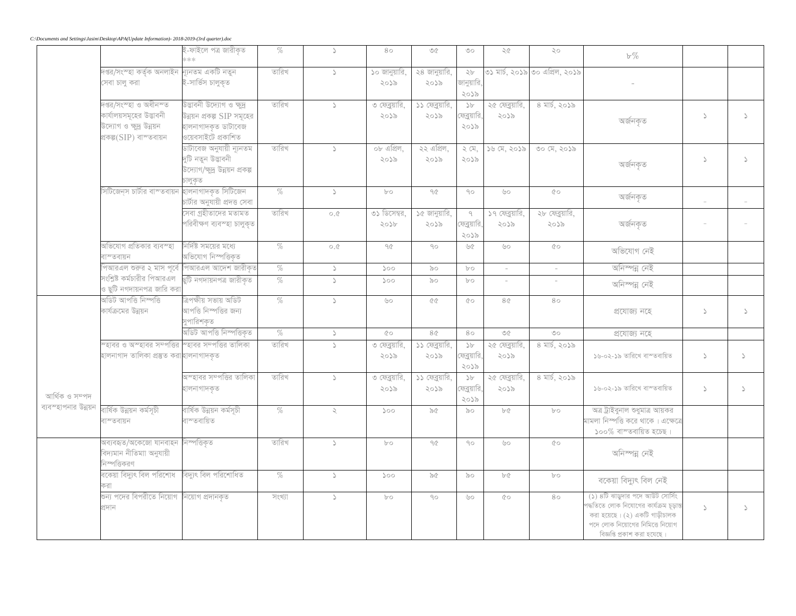|                      |                                                                                                                   | ই-ফাইলে পত্ৰ জারীকৃত<br>$*\ast\ast$                                                                   | $\%$   | $\mathcal{L}$     | 80                     | $\circledcirc$          | O                                  | 55                      | $\mathcal{S}\circ$             | $b\%$                                                                                                                                                                                                                                                                                                                                                                                                                 |               |               |
|----------------------|-------------------------------------------------------------------------------------------------------------------|-------------------------------------------------------------------------------------------------------|--------|-------------------|------------------------|-------------------------|------------------------------------|-------------------------|--------------------------------|-----------------------------------------------------------------------------------------------------------------------------------------------------------------------------------------------------------------------------------------------------------------------------------------------------------------------------------------------------------------------------------------------------------------------|---------------|---------------|
|                      | দপ্তর/সংস্হা কর্তৃক অনলাইন ন্যূনতম একটি নতুন<br>সেবা চালু করা                                                     | ই-সার্ভিস চালুকৃত                                                                                     | তারিখ  | $\rightarrow$     | ১০ জানুয়ারি,<br>২০১৯  | ২৪ জানুয়ারি,<br>২০১৯   | $\gtrsim b$<br>জানুয়ারি,<br>২০১৯  |                         | ৩১ মাৰ্চ, ২০১৯ ৩০ এপ্ৰিল, ২০১৯ |                                                                                                                                                                                                                                                                                                                                                                                                                       |               |               |
|                      | দপ্তর/সংস্হা ও অধীনস্ত<br>কার্যালয়সমূহের উদ্ভাবনী<br>.<br>উদ্যোগ ও ক্ষুদ্র উন্নয়ন<br>প্ৰকল্প $(SIP)$ বাস্তবায়ন | উদ্ভাবনী উদ্যোগ ও ক্ষুদ্র<br>উন্নয়ন প্রকল্প SIP সমূহের<br>হালনাগাদকৃত ডাটাবেজ<br>ওয়েবসাইটে প্ৰকাশিত | তারিখ  | $\Delta$          | ৩ ফেব্রয়ারি.<br>২০১৯  | ১১ ফেব্রয়ারি,<br>২০১৯  | $\Delta b$<br>ফেব্রুয়ারি,<br>২০১৯ | ২৫ ফেব্রয়ারি,<br>২০১৯  | ৪ মার্চ, ২০১৯                  | অৰ্জনকৃত                                                                                                                                                                                                                                                                                                                                                                                                              | $\mathcal{L}$ | $\Delta$      |
|                      |                                                                                                                   | ডাটাবেজ অনুযায়ী ন্যূনতম<br>দুটি নতুন উদ্ভাবনী<br>উদ্যোগ/ক্ষুদ্র উন্নয়ন প্রকল্প<br>চালুকৃত           | তারিখ  | $\mathcal{S}$     | ০৮ এপ্রিল,<br>২০১৯     | ২২ এপ্রিল,<br>২০১৯      | 2G<br>২০১৯                         | $56\,$ $\alpha$ , 2055  | $00 \text{ oz}, 2055$          | $\sqrt{99990}$                                                                                                                                                                                                                                                                                                                                                                                                        | $\geq$        | $\Delta$      |
|                      | সিটিজেন্স চার্টার বাস্তবায়ন                                                                                      | হালনাগাদকৃত সিটিজেন<br>চাৰ্টার অনুযায়ী প্রদত্ত সেবা                                                  | $\%$   | $\Delta$          | $b$ o                  | $\gamma\gamma$          | $90^{\circ}$                       | VO                      | 00                             | $\sqrt{2\pi}\sqrt{2\pi}\sqrt{2\pi}\sqrt{2\pi}\sqrt{2\pi}\sqrt{2\pi}\sqrt{2\pi}\sqrt{2\pi}\sqrt{2\pi}\sqrt{2\pi}\sqrt{2\pi}\sqrt{2\pi}\sqrt{2\pi}\sqrt{2\pi}\sqrt{2\pi}\sqrt{2\pi}\sqrt{2\pi}\sqrt{2\pi}\sqrt{2\pi}\sqrt{2\pi}\sqrt{2\pi}\sqrt{2\pi}\sqrt{2\pi}\sqrt{2\pi}\sqrt{2\pi}\sqrt{2\pi}\sqrt{2\pi}\sqrt{2\pi}\sqrt{2\pi}\sqrt{2\pi}\sqrt{2\pi}\sqrt{2\pi}\sqrt{2\pi}\sqrt{2\pi}\sqrt{2\pi}\sqrt{2\pi}\sqrt{2$ |               |               |
|                      |                                                                                                                   | সেবা গ্ৰহীতাদের মতামত<br>পরিবীক্ষণ ব্যবস্হা চালুকৃত                                                   | তারিখ  | $\circ$ . $\circ$ | ৩১ ডিসেম্বর,<br>2056   | ১৫ জানুয়ারি,<br>২০১৯   | $\theta$<br>ফেব্রুয়ারি,<br>২০১৯   | ১৭ ফেব্রুয়ারি,<br>২০১৯ | ২৮ ফেব্রুয়ারি,<br>২০১৯        | অৰ্জনকৃত                                                                                                                                                                                                                                                                                                                                                                                                              |               |               |
|                      | অভিযোগ প্ৰতিকার ব্যবস্হা<br><u> ৰাস্তবায়ন</u>                                                                    | নির্দিষ্ট সময়ের মধ্যে<br>অভিযোগ নিস্পত্তিকৃত                                                         | $\%$   | $\circ$ . $\circ$ | $90^{\circ}$           | $90^{\circ}$            | UG                                 | $\circ\circ$            | $\circ$                        | অভিযোগ নেই                                                                                                                                                                                                                                                                                                                                                                                                            |               |               |
|                      | পআরএল শুরুর ২ মাস পূর্বে পিআরএল আদেশ জারীকৃত                                                                      |                                                                                                       | $\%$   | $\mathcal{L}$     | 500                    | $\delta$                | $b$ o                              | $\sim$                  | $\sim$                         | অনিস্পন্ন নেই                                                                                                                                                                                                                                                                                                                                                                                                         |               |               |
|                      | সংশ্রিষ্ট কর্মচারীর পিআরএল<br>ও ছুটি নগদায়নপত্র জারি করা                                                         | ছুটি নগদায়নপত্ৰ জারীকৃত                                                                              | $\%$   | $\Delta$          | 500                    | $\delta$                | $b$ o                              | $\sim$                  |                                | অনিস্পন্ন নেই                                                                                                                                                                                                                                                                                                                                                                                                         |               |               |
|                      | অডিট আপত্তি নিস্পত্তি<br>কার্যক্রমের উন্নয়ন                                                                      | ত্ৰিপক্ষীয় সভায় অডিট<br>আপত্তি নিস্পত্তির জন্য<br>সুপারিশকৃত                                        | $\%$   | $\Delta$          | $\circ$                | $\Diamond$ $\Diamond$   | $\circ$                            | 8Q                      | 80                             | প্ৰযোজ্য নহে                                                                                                                                                                                                                                                                                                                                                                                                          | $\mathcal{L}$ | $\Delta$      |
|                      |                                                                                                                   | অডিট আপত্তি নিস্পত্তিকৃত                                                                              | $\%$   | $\Delta$          | 00                     | 80 <sup>°</sup>         | 80                                 | $\Diamond$              | $\circlearrowright$            | প্ৰযোজ্য নহে                                                                                                                                                                                                                                                                                                                                                                                                          |               |               |
| আৰ্থিক ও সম্পদ       | ম্হাবর ও অস্হাবর সম্পত্তির স্হাবর সম্পত্তির তালিকা<br>হালনাগাদ তালিকা প্ৰস্তুত করাহালনাগাদকৃত                     |                                                                                                       | তারিখ  | $\Delta$          | ৩ ফেব্রুয়ারি,<br>২০১৯ | ১১ ফেব্রুয়ারি,<br>২০১৯ | > b<br>ক্রেব্রয়ারি,<br>২০১৯       | ২৫ ফেব্রুয়ারি<br>২০১৯  | ৪ মার্চ, ২০১৯                  | ১৬-০২-১৯ তারিখে বাস্তবায়িত                                                                                                                                                                                                                                                                                                                                                                                           | $\Delta$      | $\Delta$      |
|                      |                                                                                                                   | অস্হাবর সম্পত্তির তালিকা<br>হালনাগাদকৃত                                                               | তারিখ  | $\Delta$          | ৩ ফেব্রুয়ারি.<br>২০১৯ | ১১ ফেব্রয়ারি.<br>২০১৯  | $\Delta b$<br>য়্বেয়ারি,<br>২০১৯  | ২৫ ফেব্রয়ারি.<br>২০১৯  | ৪ মার্চ, ২০১৯                  | ১৬-০২-১৯ তারিখে বাস্তবায়িত                                                                                                                                                                                                                                                                                                                                                                                           | $\mathcal{L}$ | $\mathcal{L}$ |
| ব্যবস্হাপনার উন্নয়ন | বাৰ্ষিক উন্নয়ন কৰ্মসূচী<br>াস্তবায়ন                                                                             | বাৰ্ষিক উন্নয়ন কৰ্মসূচী<br>বাস্তবায়িত                                                               | $\%$   | $\mathcal{L}$     | 500                    | $\delta$                | $\delta$                           | bC                      | $b$ $\circ$                    | অত্র ট্রাইবুনাল শুধুমাত্র আয়কর<br>।<br>মামলা নিস্পত্তি করে থাকে । এক্ষেত্রে<br>$\mathcal{S}$ ০০% বাস্তবায়িত হচেছ।                                                                                                                                                                                                                                                                                                   |               |               |
|                      | মব্যবহৃত/অকেজো যানবাহন নিস্পত্তিকৃত<br>্নদ্যমান নীতিমাা অনুযায়ী<br>নিস্পত্তিকরণ                                  |                                                                                                       | তারিখ  | $\Delta$          | $b$ o                  | $90^{\circ}$            | $90^{\circ}$                       | $\circ\circ$            | $\circ$                        | অনিস্পন্ন নেই                                                                                                                                                                                                                                                                                                                                                                                                         |               |               |
|                      | বকেয়া বিদ্যুৎ বিল পরিশোধ                                                                                         | বিদ্যুৎ বিল পরিশোধিত                                                                                  | $\%$   | $\mathcal{L}$     | 500                    | 56                      | $\infty$                           | bC                      | $b^{\circ}$                    | বকেয়া বিদ্যুৎ বিল নেই                                                                                                                                                                                                                                                                                                                                                                                                |               |               |
|                      | ঙন্য পদের বিপরীতে নিয়োগ  নিয়োগ প্রদানকৃত<br>প্ৰদান                                                              |                                                                                                       | সংখ্যা | $\Delta$          | $b^{\circ}$            | $90^{\circ}$            | U                                  | $Q^{\circ}$             | 80                             | (১) ৪টি ঝাডুদার পদে আউট সোর্সিং<br>পদ্ধতিতে লোক নিযোগের কার্যক্রম চূড়াং<br>করা হয়েছে। (২) একটি গাড়ীচালক<br>পদে লোক নিয়োগের নিমিত্তে নিয়োগ<br>বিজ্ঞপ্তি প্রকাশ করা হযেছে।                                                                                                                                                                                                                                         | $\mathcal{L}$ | $\Delta$      |

*C:\Documents and Settings\Jasim\Desktop\APA(Update Information)- 2018-2019-(3rd quarter).doc*